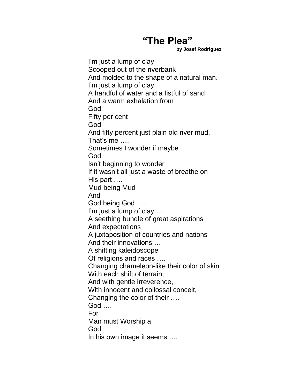## **"The Plea"**

**by Josef Rodriguez**

I'm just a lump of clay Scooped out of the riverbank And molded to the shape of a natural man. I'm just a lump of clay A handful of water and a fistful of sand And a warm exhalation from God. Fifty per cent God And fifty percent just plain old river mud, That's me …. Sometimes I wonder if maybe God Isn't beginning to wonder If it wasn't all just a waste of breathe on His part …. Mud being Mud And God being God …. I'm just a lump of clay .... A seething bundle of great aspirations And expectations A juxtaposition of countries and nations And their innovations … A shifting kaleidoscope Of religions and races …. Changing chameleon-like their color of skin With each shift of terrain; And with gentle irreverence, With innocent and collossal conceit, Changing the color of their …. God …. For Man must Worship a God In his own image it seems ….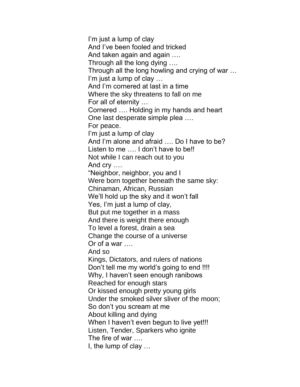I'm just a lump of clay And I've been fooled and tricked And taken again and again …. Through all the long dying …. Through all the long howling and crying of war … I'm just a lump of clay … And I'm cornered at last in a time Where the sky threatens to fall on me For all of eternity … Cornered …. Holding in my hands and heart One last desperate simple plea …. For peace. I'm just a lump of clay And I'm alone and afraid …. Do I have to be? Listen to me .... I don't have to be!! Not while I can reach out to you And cry …. "Neighbor, neighbor, you and I Were born together beneath the same sky: Chinaman, African, Russian We'll hold up the sky and it won't fall Yes, I'm just a lump of clay, But put me together in a mass And there is weight there enough To level a forest, drain a sea Change the course of a universe Or of a war …. And so Kings, Dictators, and rulers of nations Don't tell me my world's going to end !!!! Why, I haven't seen enough ranibows Reached for enough stars Or kissed enough pretty young girls Under the smoked silver sliver of the moon; So don't you scream at me About killing and dying When I haven't even begun to live yet!!! Listen, Tender, Sparkers who ignite The fire of war …. I, the lump of clay …